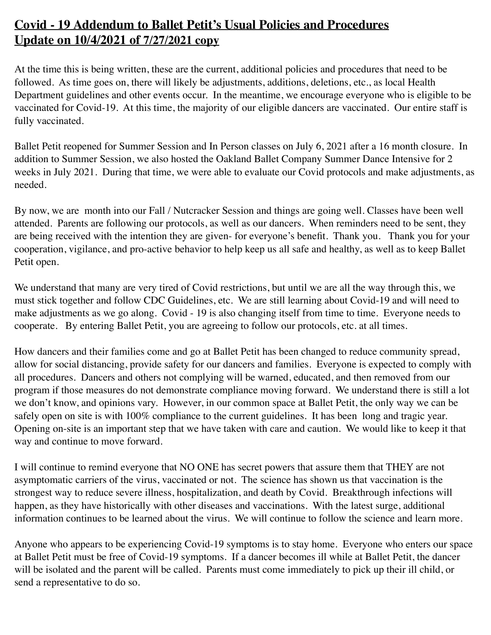## **Covid - 19 Addendum to Ballet Petit's Usual Policies and Procedures Update on 10/4/2021 of 7/27/2021 copy**

At the time this is being written, these are the current, additional policies and procedures that need to be followed. As time goes on, there will likely be adjustments, additions, deletions, etc., as local Health Department guidelines and other events occur. In the meantime, we encourage everyone who is eligible to be vaccinated for Covid-19. At this time, the majority of our eligible dancers are vaccinated. Our entire staff is fully vaccinated.

Ballet Petit reopened for Summer Session and In Person classes on July 6, 2021 after a 16 month closure. In addition to Summer Session, we also hosted the Oakland Ballet Company Summer Dance Intensive for 2 weeks in July 2021. During that time, we were able to evaluate our Covid protocols and make adjustments, as needed.

By now, we are month into our Fall / Nutcracker Session and things are going well. Classes have been well attended. Parents are following our protocols, as well as our dancers. When reminders need to be sent, they are being received with the intention they are given- for everyone's benefit. Thank you. Thank you for your cooperation, vigilance, and pro-active behavior to help keep us all safe and healthy, as well as to keep Ballet Petit open.

We understand that many are very tired of Covid restrictions, but until we are all the way through this, we must stick together and follow CDC Guidelines, etc. We are still learning about Covid-19 and will need to make adjustments as we go along. Covid - 19 is also changing itself from time to time. Everyone needs to cooperate. By entering Ballet Petit, you are agreeing to follow our protocols, etc. at all times.

How dancers and their families come and go at Ballet Petit has been changed to reduce community spread, allow for social distancing, provide safety for our dancers and families. Everyone is expected to comply with all procedures. Dancers and others not complying will be warned, educated, and then removed from our program if those measures do not demonstrate compliance moving forward. We understand there is still a lot we don't know, and opinions vary. However, in our common space at Ballet Petit, the only way we can be safely open on site is with 100% compliance to the current guidelines. It has been long and tragic year. Opening on-site is an important step that we have taken with care and caution. We would like to keep it that way and continue to move forward.

I will continue to remind everyone that NO ONE has secret powers that assure them that THEY are not asymptomatic carriers of the virus, vaccinated or not. The science has shown us that vaccination is the strongest way to reduce severe illness, hospitalization, and death by Covid. Breakthrough infections will happen, as they have historically with other diseases and vaccinations. With the latest surge, additional information continues to be learned about the virus. We will continue to follow the science and learn more.

Anyone who appears to be experiencing Covid-19 symptoms is to stay home. Everyone who enters our space at Ballet Petit must be free of Covid-19 symptoms. If a dancer becomes ill while at Ballet Petit, the dancer will be isolated and the parent will be called. Parents must come immediately to pick up their ill child, or send a representative to do so.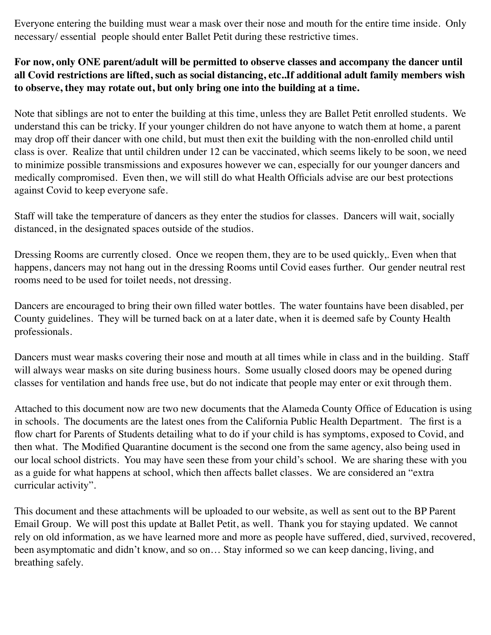Everyone entering the building must wear a mask over their nose and mouth for the entire time inside. Only necessary/ essential people should enter Ballet Petit during these restrictive times.

## **For now, only ONE parent/adult will be permitted to observe classes and accompany the dancer until all Covid restrictions are lifted, such as social distancing, etc..If additional adult family members wish to observe, they may rotate out, but only bring one into the building at a time.**

Note that siblings are not to enter the building at this time, unless they are Ballet Petit enrolled students. We understand this can be tricky. If your younger children do not have anyone to watch them at home, a parent may drop off their dancer with one child, but must then exit the building with the non-enrolled child until class is over. Realize that until children under 12 can be vaccinated, which seems likely to be soon, we need to minimize possible transmissions and exposures however we can, especially for our younger dancers and medically compromised. Even then, we will still do what Health Officials advise are our best protections against Covid to keep everyone safe.

Staff will take the temperature of dancers as they enter the studios for classes. Dancers will wait, socially distanced, in the designated spaces outside of the studios.

Dressing Rooms are currently closed. Once we reopen them, they are to be used quickly,. Even when that happens, dancers may not hang out in the dressing Rooms until Covid eases further. Our gender neutral rest rooms need to be used for toilet needs, not dressing.

Dancers are encouraged to bring their own filled water bottles. The water fountains have been disabled, per County guidelines. They will be turned back on at a later date, when it is deemed safe by County Health professionals.

Dancers must wear masks covering their nose and mouth at all times while in class and in the building. Staff will always wear masks on site during business hours. Some usually closed doors may be opened during classes for ventilation and hands free use, but do not indicate that people may enter or exit through them.

Attached to this document now are two new documents that the Alameda County Office of Education is using in schools. The documents are the latest ones from the California Public Health Department. The first is a flow chart for Parents of Students detailing what to do if your child is has symptoms, exposed to Covid, and then what. The Modified Quarantine document is the second one from the same agency, also being used in our local school districts. You may have seen these from your child's school. We are sharing these with you as a guide for what happens at school, which then affects ballet classes. We are considered an "extra curricular activity".

This document and these attachments will be uploaded to our website, as well as sent out to the BP Parent Email Group. We will post this update at Ballet Petit, as well. Thank you for staying updated. We cannot rely on old information, as we have learned more and more as people have suffered, died, survived, recovered, been asymptomatic and didn't know, and so on… Stay informed so we can keep dancing, living, and breathing safely.